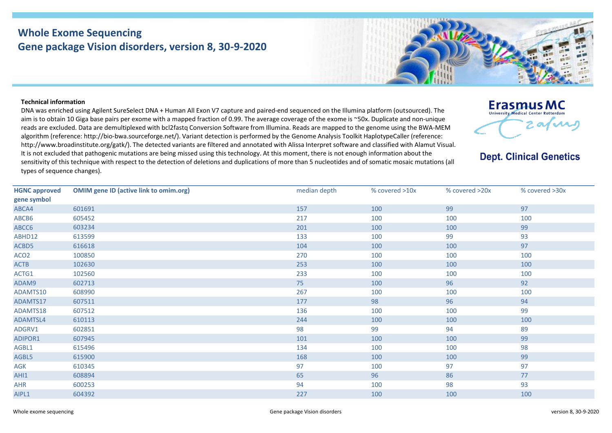## **Whole Exome Sequencing Gene package Vision disorders, version 8, 30-9-2020**

## **Technical information**

DNA was enriched using Agilent SureSelect DNA + Human All Exon V7 capture and paired-end sequenced on the Illumina platform (outsourced). The aim is to obtain 10 Giga base pairs per exome with a mapped fraction of 0.99. The average coverage of the exome is ~50x. Duplicate and non-unique reads are excluded. Data are demultiplexed with bcl2fastq Conversion Software from Illumina. Reads are mapped to the genome using the BWA-MEM algorithm (reference: http://bio‐bwa.sourceforge.net/). Variant detection is performed by the Genome Analysis Toolkit HaplotypeCaller (reference: http://www.broadinstitute.org/gatk/). The detected variants are filtered and annotated with Alissa Interpret software and classified with Alamut Visual. It is not excluded that pathogenic mutations are being missed using this technology. At this moment, there is not enough information about the sensitivity of this technique with respect to the detection of deletions and duplications of more than 5 nucleotides and of somatic mosaic mutations (all types of sequence changes).





## **Dept. Clinical Genetics**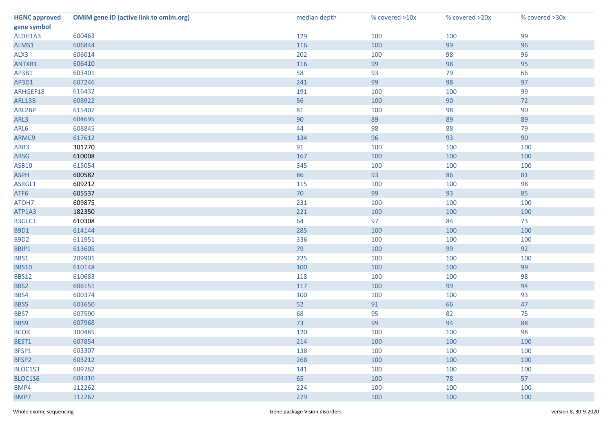| <b>HGNC approved</b> | <b>OMIM gene ID (active link to omim.org)</b> | median depth | % covered >10x | % covered >20x | % covered >30x |
|----------------------|-----------------------------------------------|--------------|----------------|----------------|----------------|
| gene symbol          |                                               |              |                |                |                |
| ALDH1A3              | 600463                                        | 129          | 100            | 100            | 99             |
| ALMS1                | 606844                                        | 116          | 100            | 99             | 96             |
| ALX3                 | 606014                                        | 202          | 100            | 98             | 96             |
| ANTXR1               | 606410                                        | 116          | 99             | 98             | 95             |
| AP3B1                | 603401                                        | 58           | 93             | 79             | 66             |
| AP3D1                | 607246                                        | 241          | 99             | 98             | 97             |
| ARHGEF18             | 616432                                        | 191          | 100            | 100            | 99             |
| ARL13B               | 608922                                        | 56           | 100            | $90\,$         | 72             |
| ARL2BP               | 615407                                        | 81           | 100            | 98             | 90             |
| ARL3                 | 604695                                        | 90           | 89             | 89             | 89             |
| ARL6                 | 608845                                        | 44           | 98             | 88             | 79             |
| ARMC9                | 617612                                        | 134          | 96             | 93             | 90             |
| ARR3                 | 301770                                        | 91           | 100            | 100            | 100            |
| ARSG                 | 610008                                        | 167          | 100            | 100            | 100            |
| <b>ASB10</b>         | 615054                                        | 345          | 100            | 100            | 100            |
| <b>ASPH</b>          | 600582                                        | 86           | 93             | 86             | 81             |
| ASRGL1               | 609212                                        | 115          | 100            | 100            | 98             |
| ATF6                 | 605537                                        | 70           | 99             | 93             | 85             |
| ATOH7                | 609875                                        | 231          | 100            | 100            | 100            |
| ATP1A3               | 182350                                        | 221          | 100            | 100            | 100            |
| <b>B3GLCT</b>        | 610308                                        | 64           | 97             | 84             | 73             |
| <b>B9D1</b>          | 614144                                        | 285          | 100            | 100            | 100            |
| <b>B9D2</b>          | 611951                                        | 336          | 100            | 100            | 100            |
| BBIP1                | 613605                                        | 79           | 100            | 99             | 92             |
| BBS1                 | 209901                                        | 225          | 100            | 100            | 100            |
| <b>BBS10</b>         | 610148                                        | 100          | 100            | 100            | 99             |
| <b>BBS12</b>         | 610683                                        | 118          | 100            | 100            | 98             |
| BBS2                 | 606151                                        | 117          | 100            | 99             | 94             |
| BBS4                 | 600374                                        | 100          | 100            | 100            | 93             |
| BBS5                 | 603650                                        | 52           | 91             | 66             | 47             |
| BBS7                 | 607590                                        | 68           | 95             | 82             | 75             |
| BBS9                 | 607968                                        | 73           | 99             | 94             | 88             |
| <b>BCOR</b>          | 300485                                        | 120          | 100            | 100            | 98             |
| BEST1                | 607854                                        | 214          | 100            | 100            | 100            |
| BFSP1                | 603307                                        | 138          | 100            | 100            | 100            |
| BFSP2                | 603212                                        | 268          | 100            | 100            | 100            |
| BLOC1S3              | 609762                                        | 141          | 100            | 100            | 100            |
| BLOC1S6              | 604310                                        | 65           | 100            | 78             | 57             |
| BMP4                 | 112262                                        | 224          | 100            | 100            | 100            |
| BMP7                 | 112267                                        | 279          | 100            | 100            | 100            |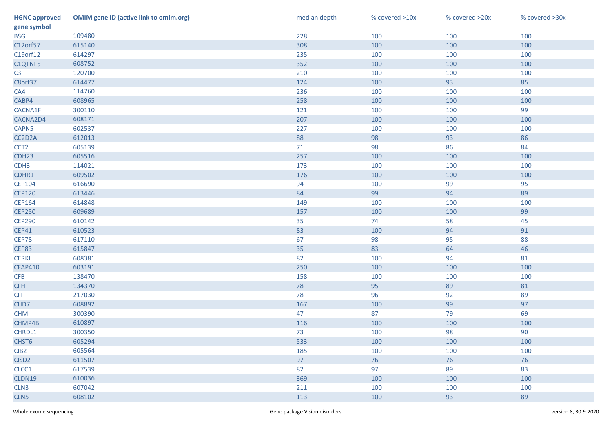| <b>HGNC approved</b> | <b>OMIM gene ID (active link to omim.org)</b> | median depth | % covered >10x | % covered >20x | % covered >30x |
|----------------------|-----------------------------------------------|--------------|----------------|----------------|----------------|
| gene symbol          |                                               |              |                |                |                |
| <b>BSG</b>           | 109480                                        | 228          | 100            | 100            | 100            |
| C12orf57             | 615140                                        | 308          | 100            | 100            | 100            |
| C19orf12             | 614297                                        | 235          | 100            | 100            | 100            |
| C1QTNF5              | 608752                                        | 352          | 100            | 100            | 100            |
| C <sub>3</sub>       | 120700                                        | 210          | 100            | 100            | 100            |
| C8orf37              | 614477                                        | 124          | 100            | 93             | 85             |
| CA4                  | 114760                                        | 236          | 100            | 100            | 100            |
| CABP4                | 608965                                        | 258          | 100            | 100            | 100            |
| CACNA1F              | 300110                                        | 121          | 100            | 100            | 99             |
| CACNA2D4             | 608171                                        | 207          | 100            | 100            | 100            |
| CAPN5                | 602537                                        | 227          | 100            | 100            | 100            |
| CC2D2A               | 612013                                        | 88           | 98             | 93             | 86             |
| CCT <sub>2</sub>     | 605139                                        | $71$         | 98             | 86             | 84             |
| CDH <sub>23</sub>    | 605516                                        | 257          | 100            | 100            | 100            |
| CDH <sub>3</sub>     | 114021                                        | 173          | 100            | 100            | 100            |
| CDHR1                | 609502                                        | 176          | 100            | 100            | 100            |
| <b>CEP104</b>        | 616690                                        | 94           | 100            | 99             | 95             |
| <b>CEP120</b>        | 613446                                        | 84           | 99             | 94             | 89             |
| <b>CEP164</b>        | 614848                                        | 149          | 100            | 100            | 100            |
| <b>CEP250</b>        | 609689                                        | 157          | 100            | 100            | 99             |
| <b>CEP290</b>        | 610142                                        | 35           | 74             | 58             | 45             |
| <b>CEP41</b>         | 610523                                        | 83           | 100            | 94             | 91             |
| CEP78                | 617110                                        | 67           | 98             | 95             | 88             |
| CEP83                | 615847                                        | 35           | 83             | 64             | 46             |
| <b>CERKL</b>         | 608381                                        | 82           | 100            | 94             | 81             |
| <b>CFAP410</b>       | 603191                                        | 250          | 100            | 100            | 100            |
| CFB                  | 138470                                        | 158          | 100            | 100            | 100            |
| <b>CFH</b>           | 134370                                        | 78           | 95             | 89             | 81             |
| <b>CFI</b>           | 217030                                        | 78           | 96             | 92             | 89             |
| CHD7                 | 608892                                        | 167          | 100            | 99             | 97             |
| <b>CHM</b>           | 300390                                        | 47           | 87             | 79             | 69             |
| CHMP4B               | 610897                                        | 116          | 100            | 100            | 100            |
| CHRDL1               | 300350                                        | 73           | 100            | 98             | 90             |
| CHST6                | 605294                                        | 533          | 100            | 100            | 100            |
| CIB <sub>2</sub>     | 605564                                        | 185          | 100            | 100            | 100            |
| CISD <sub>2</sub>    | 611507                                        | 97           | 76             | 76             | 76             |
| CLCC1                | 617539                                        | 82           | 97             | 89             | 83             |
| CLDN19               | 610036                                        | 369          | 100            | 100            | 100            |
| CLN <sub>3</sub>     | 607042                                        | 211          | 100            | 100            | 100            |
| CLN5                 | 608102                                        | 113          | 100            | 93             | 89             |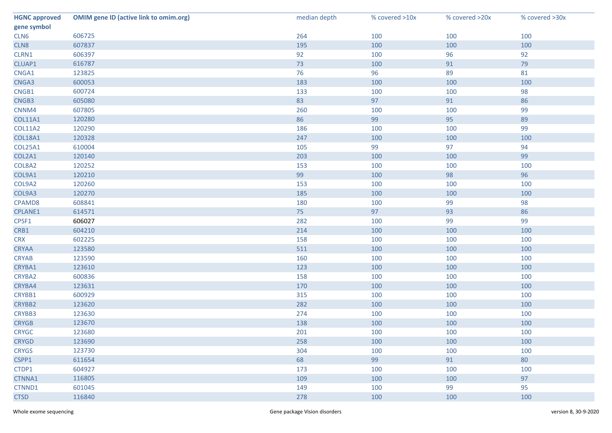| <b>HGNC approved</b> | <b>OMIM gene ID (active link to omim.org)</b> | median depth | % covered >10x | % covered >20x | % covered >30x |
|----------------------|-----------------------------------------------|--------------|----------------|----------------|----------------|
| gene symbol          |                                               |              |                |                |                |
| CLN6                 | 606725                                        | 264          | 100            | 100            | 100            |
| CLN8                 | 607837                                        | 195          | 100            | 100            | 100            |
| CLRN1                | 606397                                        | 92           | 100            | 96             | 92             |
| CLUAP1               | 616787                                        | 73           | 100            | 91             | 79             |
| CNGA1                | 123825                                        | 76           | 96             | 89             | 81             |
| CNGA3                | 600053                                        | 183          | 100            | 100            | 100            |
| CNGB1                | 600724                                        | 133          | 100            | 100            | 98             |
| CNGB3                | 605080                                        | 83           | 97             | 91             | 86             |
| CNNM4                | 607805                                        | 260          | 100            | 100            | 99             |
| <b>COL11A1</b>       | 120280                                        | 86           | 99             | 95             | 89             |
| <b>COL11A2</b>       | 120290                                        | 186          | 100            | 100            | 99             |
| <b>COL18A1</b>       | 120328                                        | 247          | 100            | 100            | 100            |
| <b>COL25A1</b>       | 610004                                        | 105          | 99             | 97             | 94             |
| COL2A1               | 120140                                        | 203          | 100            | 100            | 99             |
| COL8A2               | 120252                                        | 153          | 100            | 100            | 100            |
| COL9A1               | 120210                                        | 99           | 100            | 98             | 96             |
| COL9A2               | 120260                                        | 153          | 100            | 100            | 100            |
| COL9A3               | 120270                                        | 185          | 100            | 100            | 100            |
| CPAMD8               | 608841                                        | 180          | 100            | 99             | 98             |
| CPLANE1              | 614571                                        | 75           | 97             | 93             | 86             |
| CPSF1                | 606027                                        | 282          | 100            | 99             | 99             |
| CRB1                 | 604210                                        | 214          | 100            | 100            | 100            |
| <b>CRX</b>           | 602225                                        | 158          | 100            | 100            | 100            |
| <b>CRYAA</b>         | 123580                                        | 511          | 100            | 100            | 100            |
| <b>CRYAB</b>         | 123590                                        | 160          | 100            | 100            | 100            |
| CRYBA1               | 123610                                        | 123          | 100            | 100            | 100            |
| CRYBA2               | 600836                                        | 158          | 100            | 100            | 100            |
| CRYBA4               | 123631                                        | 170          | 100            | 100            | 100            |
| CRYBB1               | 600929                                        | 315          | 100            | 100            | 100            |
| CRYBB2               | 123620                                        | 282          | 100            | 100            | 100            |
| CRYBB3               | 123630                                        | 274          | 100            | 100            | 100            |
| <b>CRYGB</b>         | 123670                                        | 138          | 100            | 100            | 100            |
| <b>CRYGC</b>         | 123680                                        | 201          | 100            | 100            | 100            |
| <b>CRYGD</b>         | 123690                                        | 258          | 100            | 100            | 100            |
| <b>CRYGS</b>         | 123730                                        | 304          | 100            | 100            | 100            |
| CSPP1                | 611654                                        | 68           | 99             | 91             | 80             |
| CTDP1                | 604927                                        | 173          | 100            | 100            | 100            |
| CTNNA1               | 116805                                        | 109          | 100            | 100            | 97             |
| CTNND1               | 601045                                        | 149          | 100            | 99             | 95             |
| <b>CTSD</b>          | 116840                                        | 278          | 100            | 100            | 100            |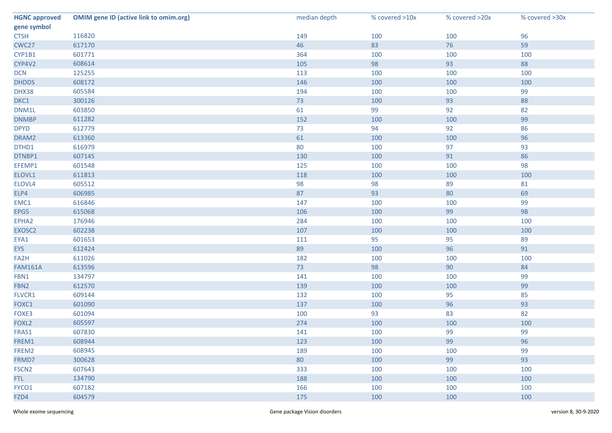| <b>HGNC approved</b> | <b>OMIM gene ID (active link to omim.org)</b> | median depth | % covered >10x | % covered >20x | % covered >30x |
|----------------------|-----------------------------------------------|--------------|----------------|----------------|----------------|
| gene symbol          |                                               |              |                |                |                |
| <b>CTSH</b>          | 116820                                        | 149          | 100            | 100            | 96             |
| CWC27                | 617170                                        | 46           | 83             | 76             | 59             |
| CYP1B1               | 601771                                        | 364          | 100            | 100            | 100            |
| CYP4V2               | 608614                                        | 105          | 98             | 93             | 88             |
| <b>DCN</b>           | 125255                                        | 113          | 100            | 100            | 100            |
| <b>DHDDS</b>         | 608172                                        | 146          | 100            | 100            | 100            |
| DHX38                | 605584                                        | 194          | 100            | 100            | 99             |
| DKC1                 | 300126                                        | 73           | 100            | 93             | 88             |
| DNM1L                | 603850                                        | 61           | 99             | 92             | 82             |
| <b>DNMBP</b>         | 611282                                        | 152          | 100            | 100            | 99             |
| <b>DPYD</b>          | 612779                                        | 73           | 94             | 92             | 86             |
| DRAM2                | 613360                                        | 61           | 100            | 100            | 96             |
| DTHD1                | 616979                                        | 80           | 100            | 97             | 93             |
| DTNBP1               | 607145                                        | 130          | 100            | 91             | 86             |
| EFEMP1               | 601548                                        | 125          | 100            | 100            | 98             |
| ELOVL1               | 611813                                        | 118          | 100            | 100            | 100            |
| ELOVL4               | 605512                                        | 98           | 98             | 89             | 81             |
| ELP4                 | 606985                                        | 87           | 93             | 80             | 69             |
| EMC1                 | 616846                                        | 147          | 100            | 100            | 99             |
| EPG5                 | 615068                                        | 106          | 100            | 99             | 98             |
| EPHA2                | 176946                                        | 284          | 100            | 100            | 100            |
| EXOSC2               | 602238                                        | 107          | 100            | 100            | 100            |
| EYA1                 | 601653                                        | 111          | 95             | 95             | 89             |
| <b>EYS</b>           | 612424                                        | 89           | 100            | 96             | 91             |
| FA2H                 | 611026                                        | 182          | 100            | 100            | 100            |
| <b>FAM161A</b>       | 613596                                        | 73           | 98             | 90             | 84             |
| FBN1                 | 134797                                        | 141          | 100            | 100            | 99             |
| FBN <sub>2</sub>     | 612570                                        | 139          | 100            | 100            | 99             |
| FLVCR1               | 609144                                        | 132          | 100            | 95             | 85             |
| FOXC1                | 601090                                        | 137          | 100            | 96             | 93             |
| FOXE3                | 601094                                        | 100          | 93             | 83             | 82             |
| FOXL <sub>2</sub>    | 605597                                        | 274          | 100            | 100            | 100            |
| FRAS1                | 607830                                        | 141          | 100            | 99             | 99             |
| FREM1                | 608944                                        | 123          | 100            | 99             | 96             |
| FREM2                | 608945                                        | 189          | 100            | 100            | 99             |
| FRMD7                | 300628                                        | 80           | 100            | 99             | 93             |
| FSCN <sub>2</sub>    | 607643                                        | 333          | 100            | 100            | 100            |
| FTL.                 | 134790                                        | 188          | 100            | 100            | 100            |
| FYCO1                | 607182                                        | 166          | 100            | 100            | 100            |
| FZD4                 | 604579                                        | 175          | 100            | 100            | 100            |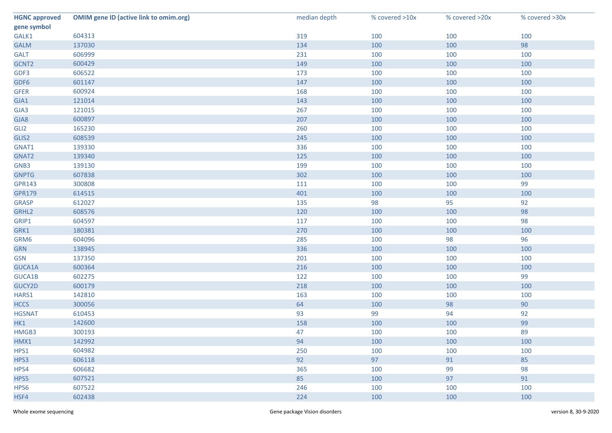| <b>HGNC approved</b> | <b>OMIM gene ID (active link to omim.org)</b> | median depth | % covered >10x | % covered >20x | % covered >30x |
|----------------------|-----------------------------------------------|--------------|----------------|----------------|----------------|
| gene symbol          |                                               |              |                |                |                |
| GALK1                | 604313                                        | 319          | 100            | 100            | 100            |
| <b>GALM</b>          | 137030                                        | 134          | 100            | 100            | 98             |
| <b>GALT</b>          | 606999                                        | 231          | 100            | 100            | 100            |
| GCNT2                | 600429                                        | 149          | 100            | 100            | 100            |
| GDF3                 | 606522                                        | 173          | 100            | 100            | 100            |
| GDF6                 | 601147                                        | 147          | 100            | 100            | 100            |
| <b>GFER</b>          | 600924                                        | 168          | 100            | 100            | 100            |
| GJA1                 | 121014                                        | 143          | 100            | 100            | 100            |
| GJA3                 | 121015                                        | 267          | 100            | 100            | 100            |
| GJA8                 | 600897                                        | 207          | 100            | 100            | 100            |
| GLI <sub>2</sub>     | 165230                                        | 260          | 100            | 100            | 100            |
| GLIS2                | 608539                                        | 245          | 100            | 100            | 100            |
| GNAT1                | 139330                                        | 336          | 100            | 100            | 100            |
| GNAT2                | 139340                                        | 125          | 100            | 100            | 100            |
| GNB3                 | 139130                                        | 199          | 100            | 100            | 100            |
| <b>GNPTG</b>         | 607838                                        | 302          | 100            | 100            | 100            |
| <b>GPR143</b>        | 300808                                        | 111          | 100            | 100            | 99             |
| <b>GPR179</b>        | 614515                                        | 401          | 100            | 100            | 100            |
| <b>GRASP</b>         | 612027                                        | 135          | 98             | 95             | 92             |
| GRHL2                | 608576                                        | 120          | 100            | 100            | 98             |
| GRIP1                | 604597                                        | 117          | 100            | 100            | 98             |
| GRK1                 | 180381                                        | 270          | 100            | 100            | 100            |
| GRM6                 | 604096                                        | 285          | 100            | 98             | 96             |
| <b>GRN</b>           | 138945                                        | 336          | 100            | 100            | 100            |
| <b>GSN</b>           | 137350                                        | 201          | 100            | 100            | 100            |
| GUCA1A               | 600364                                        | 216          | 100            | 100            | 100            |
| GUCA1B               | 602275                                        | 122          | 100            | 100            | 99             |
| GUCY2D               | 600179                                        | 218          | 100            | 100            | 100            |
| HARS1                | 142810                                        | 163          | 100            | 100            | 100            |
| <b>HCCS</b>          | 300056                                        | 64           | 100            | 98             | 90             |
| <b>HGSNAT</b>        | 610453                                        | 93           | 99             | 94             | 92             |
| HK1                  | 142600                                        | 158          | 100            | 100            | 99             |
| HMGB3                | 300193                                        | 47           | 100            | 100            | 89             |
| HMX1                 | 142992                                        | 94           | 100            | 100            | 100            |
| HPS1                 | 604982                                        | 250          | 100            | 100            | 100            |
| HPS3                 | 606118                                        | 92           | 97             | 91             | 85             |
| HPS4                 | 606682                                        | 365          | 100            | 99             | 98             |
| HPS5                 | 607521                                        | 85           | 100            | 97             | 91             |
| HPS6                 | 607522                                        | 246          | 100            | 100            | 100            |
| HSF4                 | 602438                                        | 224          | 100            | 100            | 100            |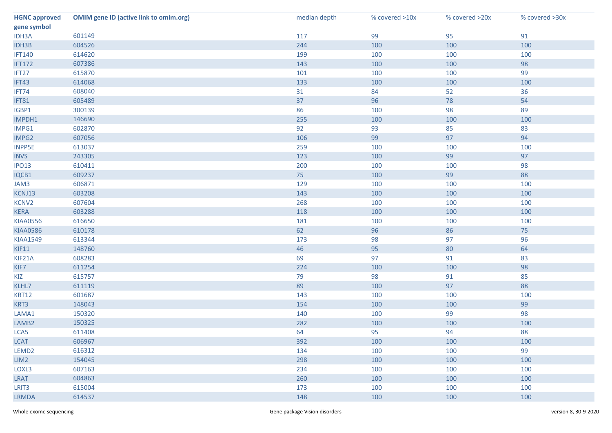| <b>HGNC approved</b> | <b>OMIM gene ID (active link to omim.org)</b> | median depth | % covered >10x | % covered >20x | % covered >30x |
|----------------------|-----------------------------------------------|--------------|----------------|----------------|----------------|
| gene symbol          |                                               |              |                |                |                |
| IDH3A                | 601149                                        | 117          | 99             | 95             | 91             |
| IDH3B                | 604526                                        | 244          | 100            | 100            | 100            |
| <b>IFT140</b>        | 614620                                        | 199          | 100            | 100            | 100            |
| <b>IFT172</b>        | 607386                                        | 143          | 100            | 100            | 98             |
| IFT27                | 615870                                        | 101          | 100            | 100            | 99             |
| IFT43                | 614068                                        | 133          | 100            | 100            | 100            |
| IFT74                | 608040                                        | 31           | 84             | 52             | 36             |
| IFT81                | 605489                                        | 37           | 96             | 78             | 54             |
| IGBP1                | 300139                                        | 86           | 100            | 98             | 89             |
| IMPDH1               | 146690                                        | 255          | 100            | 100            | 100            |
| IMPG1                | 602870                                        | 92           | 93             | 85             | 83             |
| IMPG2                | 607056                                        | 106          | 99             | 97             | 94             |
| <b>INPP5E</b>        | 613037                                        | 259          | 100            | 100            | 100            |
| <b>INVS</b>          | 243305                                        | 123          | 100            | 99             | 97             |
| <b>IPO13</b>         | 610411                                        | 200          | 100            | 100            | 98             |
| IQCB1                | 609237                                        | 75           | 100            | 99             | 88             |
| JAM3                 | 606871                                        | 129          | 100            | 100            | 100            |
| KCNJ13               | 603208                                        | 143          | 100            | 100            | 100            |
| KCNV2                | 607604                                        | 268          | 100            | 100            | 100            |
| <b>KERA</b>          | 603288                                        | 118          | 100            | 100            | 100            |
| <b>KIAA0556</b>      | 616650                                        | 181          | 100            | 100            | 100            |
| <b>KIAA0586</b>      | 610178                                        | 62           | 96             | 86             | 75             |
| <b>KIAA1549</b>      | 613344                                        | 173          | 98             | 97             | 96             |
| KIF11                | 148760                                        | 46           | 95             | 80             | 64             |
| KIF21A               | 608283                                        | 69           | 97             | 91             | 83             |
| KIF7                 | 611254                                        | 224          | 100            | 100            | 98             |
| KIZ                  | 615757                                        | 79           | 98             | 91             | 85             |
| KLHL7                | 611119                                        | 89           | 100            | 97             | 88             |
| <b>KRT12</b>         | 601687                                        | 143          | 100            | 100            | 100            |
| KRT3                 | 148043                                        | 154          | 100            | 100            | 99             |
| LAMA1                | 150320                                        | 140          | 100            | 99             | 98             |
| LAMB <sub>2</sub>    | 150325                                        | 282          | 100            | 100            | 100            |
| LCA5                 | 611408                                        | 64           | 95             | 94             | 88             |
| <b>LCAT</b>          | 606967                                        | 392          | 100            | 100            | 100            |
| LEMD <sub>2</sub>    | 616312                                        | 134          | 100            | 100            | 99             |
| LIM2                 | 154045                                        | 298          | 100            | 100            | 100            |
| LOXL3                | 607163                                        | 234          | 100            | 100            | 100            |
| LRAT                 | 604863                                        | 260          | 100            | 100            | 100            |
| LRIT3                | 615004                                        | 173          | 100            | 100            | 100            |
| <b>LRMDA</b>         | 614537                                        | 148          | 100            | 100            | 100            |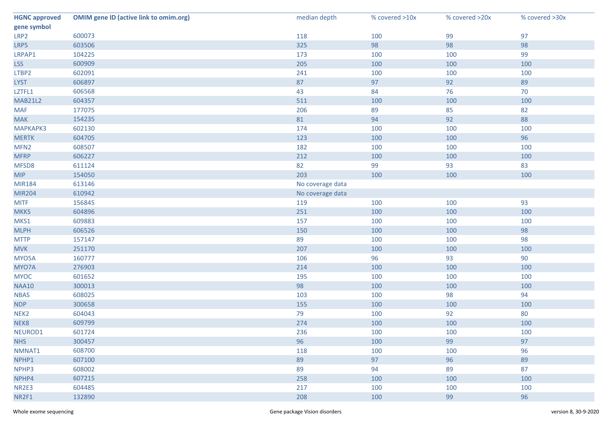| <b>HGNC approved</b> | <b>OMIM gene ID (active link to omim.org)</b> | median depth     | % covered >10x | % covered >20x | % covered >30x |
|----------------------|-----------------------------------------------|------------------|----------------|----------------|----------------|
| gene symbol          |                                               |                  |                |                |                |
| LRP2                 | 600073                                        | 118              | 100            | 99             | 97             |
| LRP5                 | 603506                                        | 325              | 98             | 98             | 98             |
| LRPAP1               | 104225                                        | 173              | 100            | 100            | 99             |
| <b>LSS</b>           | 600909                                        | 205              | 100            | 100            | 100            |
| LTBP2                | 602091                                        | 241              | 100            | 100            | 100            |
| <b>LYST</b>          | 606897                                        | 87               | 97             | 92             | 89             |
| LZTFL1               | 606568                                        | 43               | 84             | 76             | 70             |
| <b>MAB21L2</b>       | 604357                                        | 511              | 100            | 100            | 100            |
| <b>MAF</b>           | 177075                                        | 206              | 89             | 85             | 82             |
| <b>MAK</b>           | 154235                                        | 81               | 94             | 92             | 88             |
| <b>МАРКАРКЗ</b>      | 602130                                        | 174              | 100            | 100            | 100            |
| <b>MERTK</b>         | 604705                                        | 123              | 100            | 100            | 96             |
| MFN <sub>2</sub>     | 608507                                        | 182              | 100            | 100            | 100            |
| <b>MFRP</b>          | 606227                                        | 212              | 100            | 100            | 100            |
| MFSD8                | 611124                                        | 82               | 99             | 93             | 83             |
| <b>MIP</b>           | 154050                                        | 203              | 100            | 100            | 100            |
| <b>MIR184</b>        | 613146                                        | No coverage data |                |                |                |
| <b>MIR204</b>        | 610942                                        | No coverage data |                |                |                |
| <b>MITF</b>          | 156845                                        | 119              | 100            | 100            | 93             |
| <b>MKKS</b>          | 604896                                        | 251              | 100            | 100            | 100            |
| MKS1                 | 609883                                        | 157              | 100            | 100            | 100            |
| <b>MLPH</b>          | 606526                                        | 150              | 100            | 100            | 98             |
| <b>MTTP</b>          | 157147                                        | 89               | 100            | 100            | 98             |
| <b>MVK</b>           | 251170                                        | 207              | 100            | 100            | 100            |
| MYO5A                | 160777                                        | 106              | 96             | 93             | 90             |
| MYO7A                | 276903                                        | 214              | 100            | 100            | 100            |
| <b>MYOC</b>          | 601652                                        | 195              | 100            | 100            | 100            |
| <b>NAA10</b>         | 300013                                        | 98               | 100            | 100            | 100            |
| <b>NBAS</b>          | 608025                                        | 103              | 100            | 98             | 94             |
| <b>NDP</b>           | 300658                                        | 155              | 100            | 100            | 100            |
| NEK <sub>2</sub>     | 604043                                        | 79               | 100            | 92             | 80             |
| NEK8                 | 609799                                        | 274              | 100            | 100            | 100            |
| NEUROD1              | 601724                                        | 236              | 100            | 100            | 100            |
| <b>NHS</b>           | 300457                                        | 96               | 100            | 99             | 97             |
| NMNAT1               | 608700                                        | 118              | 100            | 100            | 96             |
| NPHP1                | 607100                                        | 89               | 97             | 96             | 89             |
| NPHP3                | 608002                                        | 89               | 94             | 89             | 87             |
| NPHP4                | 607215                                        | 258              | 100            | 100            | 100            |
| NR2E3                | 604485                                        | 217              | 100            | 100            | 100            |
| NR2F1                | 132890                                        | 208              | 100            | 99             | 96             |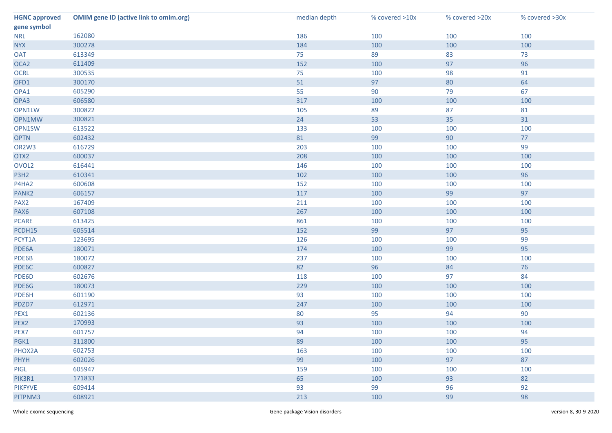| <b>HGNC approved</b> | <b>OMIM gene ID (active link to omim.org)</b> | median depth | % covered >10x | % covered >20x | % covered >30x |
|----------------------|-----------------------------------------------|--------------|----------------|----------------|----------------|
| gene symbol          |                                               |              |                |                |                |
| <b>NRL</b>           | 162080                                        | 186          | 100            | 100            | 100            |
| <b>NYX</b>           | 300278                                        | 184          | 100            | 100            | 100            |
| <b>OAT</b>           | 613349                                        | 75           | 89             | 83             | 73             |
| OCA <sub>2</sub>     | 611409                                        | 152          | 100            | 97             | 96             |
| <b>OCRL</b>          | 300535                                        | 75           | 100            | 98             | 91             |
| OFD1                 | 300170                                        | 51           | 97             | 80             | 64             |
| OPA1                 | 605290                                        | 55           | 90             | 79             | 67             |
| OPA3                 | 606580                                        | 317          | 100            | 100            | 100            |
| OPN1LW               | 300822                                        | 105          | 89             | 87             | 81             |
| OPN1MW               | 300821                                        | 24           | 53             | 35             | 31             |
| OPN1SW               | 613522                                        | 133          | 100            | 100            | 100            |
| <b>OPTN</b>          | 602432                                        | 81           | 99             | 90             | 77             |
| OR2W3                | 616729                                        | 203          | 100            | 100            | 99             |
| OTX2                 | 600037                                        | 208          | 100            | 100            | 100            |
| OVOL <sub>2</sub>    | 616441                                        | 146          | 100            | 100            | 100            |
| P3H2                 | 610341                                        | 102          | 100            | 100            | 96             |
| P4HA2                | 600608                                        | 152          | 100            | 100            | 100            |
| PANK <sub>2</sub>    | 606157                                        | 117          | 100            | 99             | 97             |
| PAX <sub>2</sub>     | 167409                                        | 211          | 100            | 100            | 100            |
| PAX6                 | 607108                                        | 267          | 100            | 100            | 100            |
| <b>PCARE</b>         | 613425                                        | 861          | 100            | 100            | 100            |
| PCDH15               | 605514                                        | 152          | 99             | 97             | 95             |
| PCYT1A               | 123695                                        | 126          | 100            | 100            | 99             |
| PDE6A                | 180071                                        | 174          | 100            | 99             | 95             |
| PDE6B                | 180072                                        | 237          | 100            | 100            | 100            |
| PDE6C                | 600827                                        | 82           | 96             | 84             | 76             |
| PDE6D                | 602676                                        | 118          | 100            | 97             | 84             |
| PDE6G                | 180073                                        | 229          | 100            | 100            | 100            |
| PDE6H                | 601190                                        | 93           | 100            | 100            | 100            |
| PDZD7                | 612971                                        | 247          | 100            | 100            | 100            |
| PEX1                 | 602136                                        | 80           | 95             | 94             | 90             |
| PEX2                 | 170993                                        | 93           | 100            | 100            | 100            |
| PEX7                 | 601757                                        | 94           | 100            | 100            | 94             |
| PGK1                 | 311800                                        | 89           | 100            | 100            | 95             |
| PHOX2A               | 602753                                        | 163          | 100            | 100            | 100            |
| <b>PHYH</b>          | 602026                                        | 99           | 100            | 97             | 87             |
| PIGL                 | 605947                                        | 159          | 100            | 100            | 100            |
| PIK3R1               | 171833                                        | 65           | 100            | 93             | 82             |
| <b>PIKFYVE</b>       | 609414                                        | 93           | 99             | 96             | 92             |
| PITPNM3              | 608921                                        | 213          | 100            | 99             | 98             |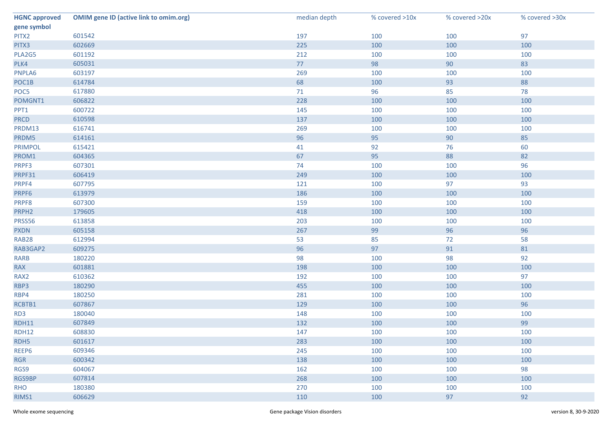| <b>HGNC approved</b> | <b>OMIM gene ID (active link to omim.org)</b> | median depth | % covered >10x | % covered >20x | % covered >30x |
|----------------------|-----------------------------------------------|--------------|----------------|----------------|----------------|
| gene symbol          |                                               |              |                |                |                |
| PITX2                | 601542                                        | 197          | 100            | 100            | 97             |
| PITX3                | 602669                                        | 225          | 100            | 100            | 100            |
| PLA2G5               | 601192                                        | 212          | 100            | 100            | 100            |
| PLK4                 | 605031                                        | 77           | 98             | 90             | 83             |
| PNPLA6               | 603197                                        | 269          | 100            | 100            | 100            |
| POC1B                | 614784                                        | 68           | 100            | 93             | 88             |
| POC5                 | 617880                                        | $71$         | 96             | 85             | 78             |
| POMGNT1              | 606822                                        | 228          | 100            | 100            | 100            |
| PPT1                 | 600722                                        | 145          | 100            | 100            | 100            |
| <b>PRCD</b>          | 610598                                        | 137          | 100            | 100            | 100            |
| PRDM13               | 616741                                        | 269          | 100            | 100            | 100            |
| PRDM5                | 614161                                        | 96           | 95             | 90             | 85             |
| <b>PRIMPOL</b>       | 615421                                        | 41           | 92             | 76             | 60             |
| PROM1                | 604365                                        | 67           | 95             | 88             | 82             |
| PRPF3                | 607301                                        | 74           | 100            | 100            | 96             |
| PRPF31               | 606419                                        | 249          | 100            | 100            | 100            |
| PRPF4                | 607795                                        | 121          | 100            | 97             | 93             |
| PRPF6                | 613979                                        | 186          | 100            | 100            | 100            |
| PRPF8                | 607300                                        | 159          | 100            | 100            | 100            |
| PRPH <sub>2</sub>    | 179605                                        | 418          | 100            | 100            | 100            |
| PRSS56               | 613858                                        | 203          | 100            | 100            | 100            |
| <b>PXDN</b>          | 605158                                        | 267          | 99             | 96             | 96             |
| RAB28                | 612994                                        | 53           | 85             | 72             | 58             |
| RAB3GAP2             | 609275                                        | 96           | 97             | 91             | $81\,$         |
| <b>RARB</b>          | 180220                                        | 98           | 100            | 98             | 92             |
| <b>RAX</b>           | 601881                                        | 198          | 100            | 100            | 100            |
| RAX2                 | 610362                                        | 192          | 100            | 100            | 97             |
| RBP3                 | 180290                                        | 455          | 100            | 100            | 100            |
| RBP4                 | 180250                                        | 281          | 100            | 100            | 100            |
| RCBTB1               | 607867                                        | 129          | 100            | 100            | 96             |
| RD3                  | 180040                                        | 148          | 100            | 100            | 100            |
| RDH11                | 607849                                        | 132          | 100            | 100            | 99             |
| <b>RDH12</b>         | 608830                                        | 147          | 100            | 100            | 100            |
| RDH <sub>5</sub>     | 601617                                        | 283          | 100            | 100            | 100            |
| REEP6                | 609346                                        | 245          | 100            | 100            | 100            |
| <b>RGR</b>           | 600342                                        | 138          | 100            | 100            | 100            |
| RGS9                 | 604067                                        | 162          | 100            | 100            | 98             |
| RGS9BP               | 607814                                        | 268          | 100            | 100            | 100            |
| <b>RHO</b>           | 180380                                        | 270          | 100            | 100            | 100            |
| RIMS1                | 606629                                        | 110          | 100            | 97             | 92             |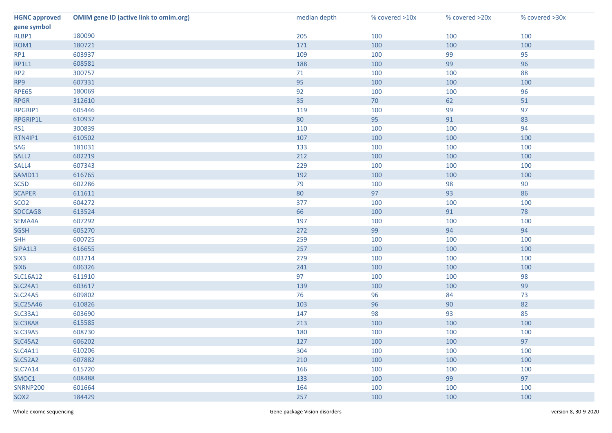| <b>HGNC approved</b> | <b>OMIM gene ID (active link to omim.org)</b> | median depth | % covered >10x | % covered >20x | % covered >30x |
|----------------------|-----------------------------------------------|--------------|----------------|----------------|----------------|
| gene symbol          |                                               |              |                |                |                |
| RLBP1                | 180090                                        | 205          | 100            | 100            | 100            |
| ROM1                 | 180721                                        | 171          | 100            | 100            | 100            |
| RP1                  | 603937                                        | 109          | 100            | 99             | 95             |
| <b>RP1L1</b>         | 608581                                        | 188          | 100            | 99             | 96             |
| RP <sub>2</sub>      | 300757                                        | $71$         | 100            | 100            | 88             |
| RP9                  | 607331                                        | 95           | 100            | 100            | 100            |
| <b>RPE65</b>         | 180069                                        | 92           | 100            | 100            | 96             |
| <b>RPGR</b>          | 312610                                        | 35           | 70             | 62             | 51             |
| RPGRIP1              | 605446                                        | 119          | 100            | 99             | 97             |
| RPGRIP1L             | 610937                                        | $80\,$       | 95             | 91             | 83             |
| RS1                  | 300839                                        | 110          | 100            | 100            | 94             |
| RTN4IP1              | 610502                                        | 107          | 100            | 100            | 100            |
| SAG                  | 181031                                        | 133          | 100            | 100            | 100            |
| SALL <sub>2</sub>    | 602219                                        | 212          | 100            | 100            | 100            |
| SALL4                | 607343                                        | 229          | 100            | 100            | 100            |
| SAMD11               | 616765                                        | 192          | 100            | 100            | 100            |
| SC5D                 | 602286                                        | 79           | 100            | 98             | 90             |
| <b>SCAPER</b>        | 611611                                        | 80           | 97             | 93             | 86             |
| SCO <sub>2</sub>     | 604272                                        | 377          | 100            | 100            | 100            |
| SDCCAG8              | 613524                                        | 66           | 100            | 91             | 78             |
| SEMA4A               | 607292                                        | 197          | 100            | 100            | 100            |
| <b>SGSH</b>          | 605270                                        | 272          | 99             | 94             | 94             |
| <b>SHH</b>           | 600725                                        | 259          | 100            | 100            | 100            |
| SIPA1L3              | 616655                                        | 257          | 100            | 100            | 100            |
| SIX <sub>3</sub>     | 603714                                        | 279          | 100            | 100            | 100            |
| SIX6                 | 606326                                        | 241          | 100            | 100            | 100            |
| <b>SLC16A12</b>      | 611910                                        | 97           | 100            | 100            | 98             |
| <b>SLC24A1</b>       | 603617                                        | 139          | 100            | 100            | 99             |
| <b>SLC24A5</b>       | 609802                                        | 76           | 96             | 84             | 73             |
| <b>SLC25A46</b>      | 610826                                        | 103          | 96             | 90             | 82             |
| SLC33A1              | 603690                                        | 147          | 98             | 93             | 85             |
| SLC38A8              | 615585                                        | 213          | 100            | 100            | 100            |
| <b>SLC39A5</b>       | 608730                                        | 180          | 100            | 100            | 100            |
| <b>SLC45A2</b>       | 606202                                        | 127          | 100            | 100            | 97             |
| <b>SLC4A11</b>       | 610206                                        | 304          | 100            | 100            | 100            |
| <b>SLC52A2</b>       | 607882                                        | 210          | 100            | 100            | 100            |
| <b>SLC7A14</b>       | 615720                                        | 166          | 100            | 100            | 100            |
| SMOC1                | 608488                                        | 133          | 100            | 99             | 97             |
| <b>SNRNP200</b>      | 601664                                        | 164          | 100            | 100            | 100            |
| SOX <sub>2</sub>     | 184429                                        | 257          | 100            | 100            | 100            |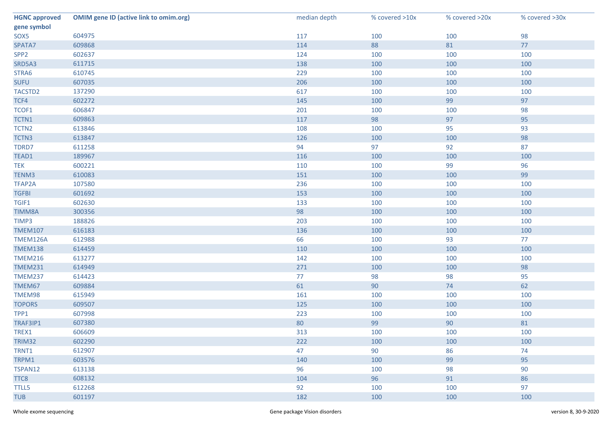| <b>HGNC approved</b> | <b>OMIM gene ID (active link to omim.org)</b> | median depth | % covered >10x | % covered >20x | % covered >30x |
|----------------------|-----------------------------------------------|--------------|----------------|----------------|----------------|
| gene symbol          |                                               |              |                |                |                |
| SOX5                 | 604975                                        | 117          | 100            | 100            | 98             |
| SPATA7               | 609868                                        | 114          | 88             | 81             | 77             |
| SPP <sub>2</sub>     | 602637                                        | 124          | 100            | 100            | 100            |
| SRD5A3               | 611715                                        | 138          | 100            | 100            | 100            |
| STRA6                | 610745                                        | 229          | 100            | 100            | 100            |
| <b>SUFU</b>          | 607035                                        | 206          | 100            | 100            | 100            |
| TACSTD2              | 137290                                        | 617          | 100            | 100            | 100            |
| TCF4                 | 602272                                        | 145          | 100            | 99             | 97             |
| TCOF1                | 606847                                        | 201          | 100            | 100            | 98             |
| TCTN1                | 609863                                        | 117          | 98             | 97             | 95             |
| TCTN <sub>2</sub>    | 613846                                        | 108          | 100            | 95             | 93             |
| TCTN3                | 613847                                        | 126          | 100            | 100            | 98             |
| TDRD7                | 611258                                        | 94           | 97             | 92             | 87             |
| TEAD1                | 189967                                        | 116          | 100            | 100            | 100            |
| <b>TEK</b>           | 600221                                        | 110          | 100            | 99             | 96             |
| TENM3                | 610083                                        | 151          | 100            | 100            | 99             |
| TFAP2A               | 107580                                        | 236          | 100            | 100            | 100            |
| <b>TGFBI</b>         | 601692                                        | 153          | 100            | 100            | 100            |
| TGIF1                | 602630                                        | 133          | 100            | 100            | 100            |
| <b>TIMM8A</b>        | 300356                                        | 98           | 100            | 100            | 100            |
| TIMP3                | 188826                                        | 203          | 100            | 100            | 100            |
| <b>TMEM107</b>       | 616183                                        | 136          | 100            | 100            | 100            |
| TMEM126A             | 612988                                        | 66           | 100            | 93             | 77             |
| <b>TMEM138</b>       | 614459                                        | 110          | 100            | 100            | 100            |
| <b>TMEM216</b>       | 613277                                        | 142          | 100            | 100            | 100            |
| <b>TMEM231</b>       | 614949                                        | 271          | 100            | 100            | 98             |
| <b>TMEM237</b>       | 614423                                        | 77           | 98             | 98             | 95             |
| TMEM67               | 609884                                        | 61           | 90             | 74             | 62             |
| TMEM98               | 615949                                        | 161          | 100            | 100            | 100            |
| <b>TOPORS</b>        | 609507                                        | 125          | 100            | 100            | 100            |
| TPP1                 | 607998                                        | 223          | 100            | 100            | 100            |
| TRAF3IP1             | 607380                                        | 80           | 99             | 90             | 81             |
| TREX1                | 606609                                        | 313          | 100            | 100            | 100            |
| TRIM32               | 602290                                        | 222          | 100            | 100            | 100            |
| TRNT1                | 612907                                        | 47           | 90             | 86             | 74             |
| TRPM1                | 603576                                        | 140          | 100            | 99             | 95             |
| TSPAN12              | 613138                                        | 96           | 100            | 98             | 90             |
| TTC8                 | 608132                                        | 104          | 96             | 91             | 86             |
| <b>TTLL5</b>         | 612268                                        | 92           | 100            | 100            | 97             |
| <b>TUB</b>           | 601197                                        | 182          | 100            | 100            | 100            |